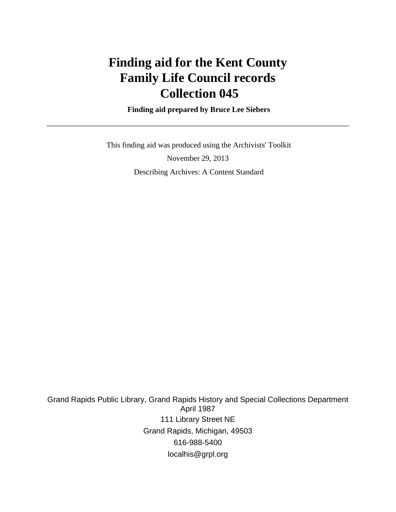# **Finding aid for the Kent County Family Life Council records Collection 045**

 **Finding aid prepared by Bruce Lee Siebers**

 This finding aid was produced using the Archivists' Toolkit November 29, 2013 Describing Archives: A Content Standard

Grand Rapids Public Library, Grand Rapids History and Special Collections Department April 1987 111 Library Street NE Grand Rapids, Michigan, 49503 616-988-5400 localhis@grpl.org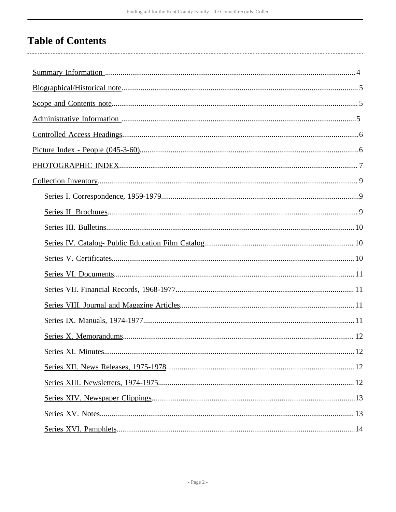## **Table of Contents**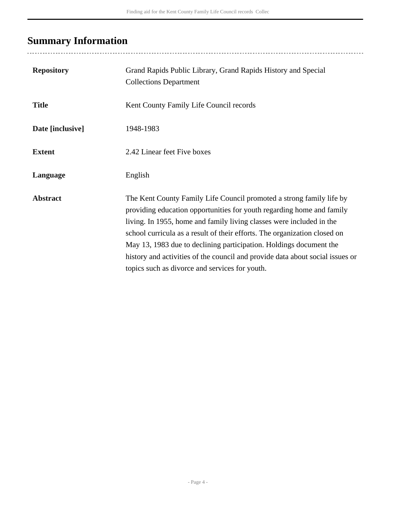## <span id="page-3-0"></span>**Summary Information**

| <b>Repository</b> | Grand Rapids Public Library, Grand Rapids History and Special<br><b>Collections Department</b>                                                                                                                                                                                                                                                                                                                                                                                                              |
|-------------------|-------------------------------------------------------------------------------------------------------------------------------------------------------------------------------------------------------------------------------------------------------------------------------------------------------------------------------------------------------------------------------------------------------------------------------------------------------------------------------------------------------------|
| <b>Title</b>      | Kent County Family Life Council records                                                                                                                                                                                                                                                                                                                                                                                                                                                                     |
| Date [inclusive]  | 1948-1983                                                                                                                                                                                                                                                                                                                                                                                                                                                                                                   |
| <b>Extent</b>     | 2.42 Linear feet Five boxes                                                                                                                                                                                                                                                                                                                                                                                                                                                                                 |
| Language          | English                                                                                                                                                                                                                                                                                                                                                                                                                                                                                                     |
| <b>Abstract</b>   | The Kent County Family Life Council promoted a strong family life by<br>providing education opportunities for youth regarding home and family<br>living. In 1955, home and family living classes were included in the<br>school curricula as a result of their efforts. The organization closed on<br>May 13, 1983 due to declining participation. Holdings document the<br>history and activities of the council and provide data about social issues or<br>topics such as divorce and services for youth. |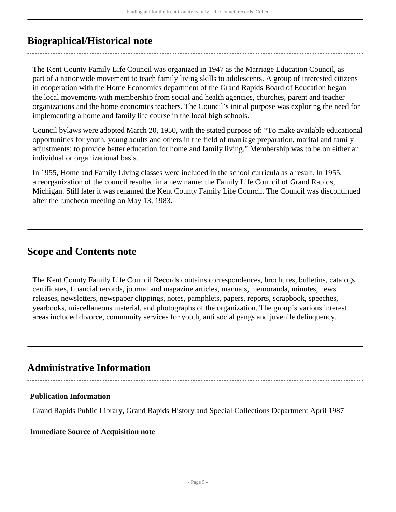### <span id="page-4-0"></span>**Biographical/Historical note**

The Kent County Family Life Council was organized in 1947 as the Marriage Education Council, as part of a nationwide movement to teach family living skills to adolescents. A group of interested citizens in cooperation with the Home Economics department of the Grand Rapids Board of Education began the local movements with membership from social and health agencies, churches, parent and teacher organizations and the home economics teachers. The Council's initial purpose was exploring the need for implementing a home and family life course in the local high schools.

Council bylaws were adopted March 20, 1950, with the stated purpose of: "To make available educational opportunities for youth, young adults and others in the field of marriage preparation, marital and family adjustments; to provide better education for home and family living." Membership was to be on either an individual or organizational basis.

In 1955, Home and Family Living classes were included in the school curricula as a result. In 1955, a reorganization of the council resulted in a new name: the Family Life Council of Grand Rapids, Michigan. Still later it was renamed the Kent County Family Life Council. The Council was discontinued after the luncheon meeting on May 13, 1983.

### <span id="page-4-1"></span>**Scope and Contents note**

The Kent County Family Life Council Records contains correspondences, brochures, bulletins, catalogs, certificates, financial records, journal and magazine articles, manuals, memoranda, minutes, news releases, newsletters, newspaper clippings, notes, pamphlets, papers, reports, scrapbook, speeches, yearbooks, miscellaneous material, and photographs of the organization. The group's various interest areas included divorce, community services for youth, anti social gangs and juvenile delinquency.

### <span id="page-4-2"></span>**Administrative Information**

### **Publication Information**

Grand Rapids Public Library, Grand Rapids History and Special Collections Department April 1987

### **Immediate Source of Acquisition note**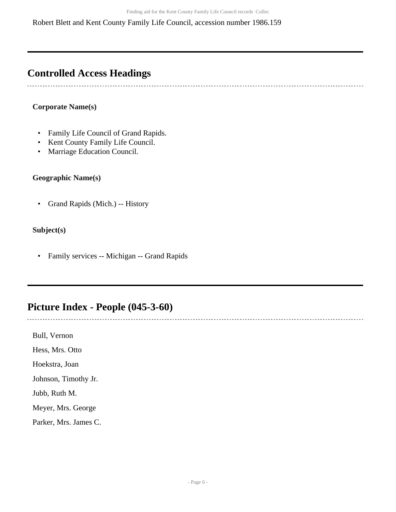Robert Blett and Kent County Family Life Council, accession number 1986.159

### <span id="page-5-0"></span>**Controlled Access Headings**

### **Corporate Name(s)**

- Family Life Council of Grand Rapids.
- Kent County Family Life Council.
- Marriage Education Council.

### **Geographic Name(s)**

• Grand Rapids (Mich.) -- History

### **Subject(s)**

• Family services -- Michigan -- Grand Rapids

### <span id="page-5-1"></span>**Picture Index - People (045-3-60)**

Bull, Vernon Hess, Mrs. Otto

Hoekstra, Joan

Johnson, Timothy Jr.

Jubb, Ruth M.

Meyer, Mrs. George

Parker, Mrs. James C.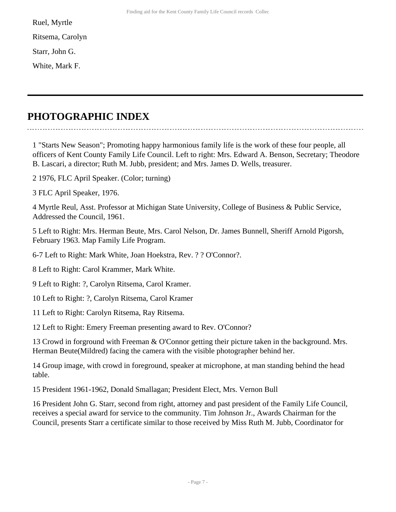Ruel, Myrtle

Ritsema, Carolyn

Starr, John G.

White, Mark F.

## <span id="page-6-0"></span>**PHOTOGRAPHIC INDEX**

1 "Starts New Season"; Promoting happy harmonious family life is the work of these four people, all officers of Kent County Family Life Council. Left to right: Mrs. Edward A. Benson, Secretary; Theodore B. Lascari, a director; Ruth M. Jubb, president; and Mrs. James D. Wells, treasurer.

2 1976, FLC April Speaker. (Color; turning)

3 FLC April Speaker, 1976.

4 Myrtle Reul, Asst. Professor at Michigan State University, College of Business & Public Service, Addressed the Council, 1961.

5 Left to Right: Mrs. Herman Beute, Mrs. Carol Nelson, Dr. James Bunnell, Sheriff Arnold Pigorsh, February 1963. Map Family Life Program.

6-7 Left to Right: Mark White, Joan Hoekstra, Rev. ? ? O'Connor?.

8 Left to Right: Carol Krammer, Mark White.

9 Left to Right: ?, Carolyn Ritsema, Carol Kramer.

10 Left to Right: ?, Carolyn Ritsema, Carol Kramer

11 Left to Right: Carolyn Ritsema, Ray Ritsema.

12 Left to Right: Emery Freeman presenting award to Rev. O'Connor?

13 Crowd in forground with Freeman & O'Connor getting their picture taken in the background. Mrs. Herman Beute(Mildred) facing the camera with the visible photographer behind her.

14 Group image, with crowd in foreground, speaker at microphone, at man standing behind the head table.

15 President 1961-1962, Donald Smallagan; President Elect, Mrs. Vernon Bull

16 President John G. Starr, second from right, attorney and past president of the Family Life Council, receives a special award for service to the community. Tim Johnson Jr., Awards Chairman for the Council, presents Starr a certificate similar to those received by Miss Ruth M. Jubb, Coordinator for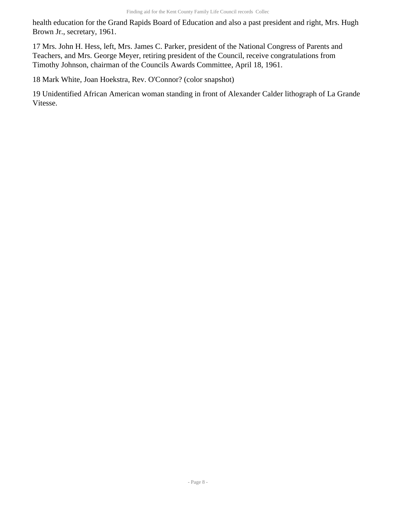health education for the Grand Rapids Board of Education and also a past president and right, Mrs. Hugh Brown Jr., secretary, 1961.

17 Mrs. John H. Hess, left, Mrs. James C. Parker, president of the National Congress of Parents and Teachers, and Mrs. George Meyer, retiring president of the Council, receive congratulations from Timothy Johnson, chairman of the Councils Awards Committee, April 18, 1961.

18 Mark White, Joan Hoekstra, Rev. O'Connor? (color snapshot)

19 Unidentified African American woman standing in front of Alexander Calder lithograph of La Grande Vitesse.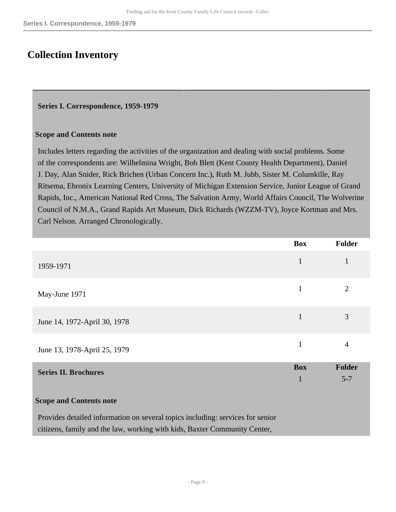### <span id="page-8-0"></span>**Collection Inventory**

#### <span id="page-8-1"></span>**Series I. Correspondence, 1959-1979**

#### **Scope and Contents note**

Includes letters regarding the activities of the organization and dealing with social problems. Some of the correspondents are: Wilhelmina Wright, Bob Blett (Kent County Health Department), Daniel J. Day, Alan Snider, Rick Brichen (Urban Concern Inc.), Ruth M. Jubb, Sister M. Columkille, Ray Ritsema, Ebronix Learning Centers, University of Michigan Extension Service, Junior League of Grand Rapids, Inc., American National Red Cross, The Salvation Army, World Affairs Council, The Wolverine Council of N.M.A., Grand Rapids Art Museum, Dick Richards (WZZM-TV), Joyce Kortman and Mrs. Carl Nelson. Arranged Chronologically.

|                              | <b>Box</b> | <b>Folder</b>  |
|------------------------------|------------|----------------|
| 1959-1971                    | 1          |                |
| May-June 1971                | 1          | $\overline{2}$ |
| June 14, 1972-April 30, 1978 | 1          | 3              |
| June 13, 1978-April 25, 1979 |            | 4              |

<span id="page-8-2"></span>

| <b>Series II. Brochures</b> | <b>Box</b> | <b>Folder</b> |
|-----------------------------|------------|---------------|
|                             |            | $5 - 7$       |
|                             |            |               |

#### **Scope and Contents note**

Provides detailed information on several topics including: services for senior citizens, family and the law, working with kids, Baxter Community Center,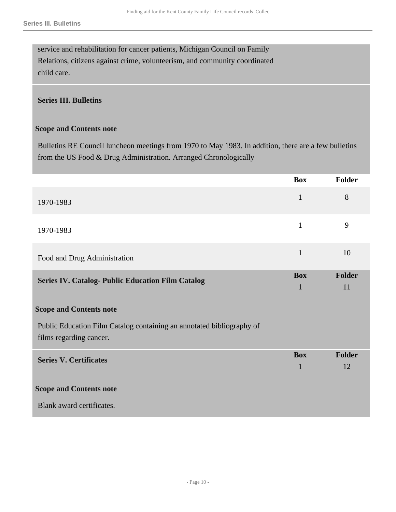service and rehabilitation for cancer patients, Michigan Council on Family Relations, citizens against crime, volunteerism, and community coordinated child care.

### <span id="page-9-0"></span>**Series III. Bulletins**

#### **Scope and Contents note**

Bulletins RE Council luncheon meetings from 1970 to May 1983. In addition, there are a few bulletins from the US Food & Drug Administration. Arranged Chronologically

<span id="page-9-2"></span><span id="page-9-1"></span>

|                                                                       | <b>Box</b>                 | Folder              |
|-----------------------------------------------------------------------|----------------------------|---------------------|
| 1970-1983                                                             | $\mathbf{1}$               | 8                   |
| 1970-1983                                                             | $\mathbf{1}$               | 9                   |
| Food and Drug Administration                                          | $\mathbf{1}$               | 10                  |
| <b>Series IV. Catalog- Public Education Film Catalog</b>              | <b>Box</b><br>$\mathbf{1}$ | <b>Folder</b><br>11 |
| <b>Scope and Contents note</b>                                        |                            |                     |
| Public Education Film Catalog containing an annotated bibliography of |                            |                     |
| films regarding cancer.                                               |                            |                     |
| <b>Series V. Certificates</b>                                         | <b>Box</b>                 | <b>Folder</b>       |
|                                                                       | $\mathbf{1}$               | 12                  |
| <b>Scope and Contents note</b>                                        |                            |                     |
| Blank award certificates.                                             |                            |                     |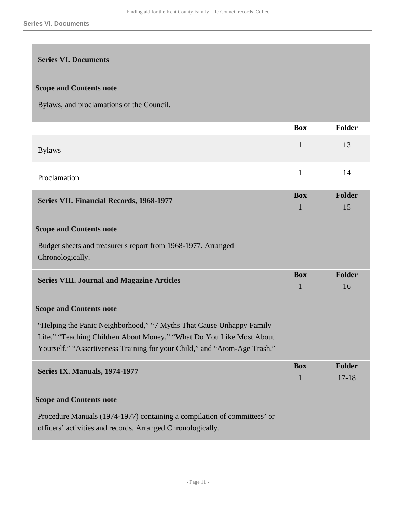### <span id="page-10-0"></span>**Series VI. Documents**

### **Scope and Contents note**

Bylaws, and proclamations of the Council.

<span id="page-10-3"></span><span id="page-10-2"></span><span id="page-10-1"></span>

|                                                                                   | <b>Box</b>      | <b>Folder</b> |
|-----------------------------------------------------------------------------------|-----------------|---------------|
| <b>Bylaws</b>                                                                     | $\mathbf{1}$    | 13            |
| Proclamation                                                                      | $\mathbf{1}$    | 14            |
| <b>Series VII. Financial Records, 1968-1977</b>                                   | <b>Box</b><br>1 | Folder<br>15  |
| <b>Scope and Contents note</b>                                                    |                 |               |
| Budget sheets and treasurer's report from 1968-1977. Arranged<br>Chronologically. |                 |               |
| <b>Series VIII. Journal and Magazine Articles</b>                                 | <b>Box</b>      | Folder        |
|                                                                                   | 1               | 16            |
| <b>Scope and Contents note</b>                                                    |                 |               |
| "Helping the Panic Neighborhood," "7 Myths That Cause Unhappy Family              |                 |               |
| Life," "Teaching Children About Money," "What Do You Like Most About              |                 |               |
| Yourself," "Assertiveness Training for your Child," and "Atom-Age Trash."         |                 |               |
| Series IX. Manuals, 1974-1977                                                     | <b>Box</b>      | <b>Folder</b> |
|                                                                                   | $\mathbf{1}$    | $17 - 18$     |
| <b>Scope and Contents note</b>                                                    |                 |               |
| Procedure Manuals (1974-1977) containing a compilation of committees' or          |                 |               |
| officers' activities and records. Arranged Chronologically.                       |                 |               |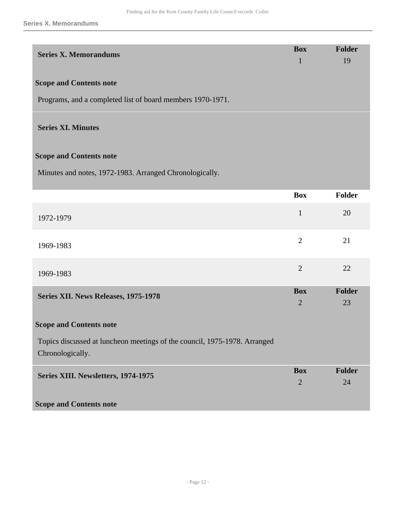<span id="page-11-3"></span><span id="page-11-2"></span><span id="page-11-1"></span><span id="page-11-0"></span>

| <b>Series X. Memorandums</b>                                                                  | <b>Box</b><br>$\mathbf{1}$   | <b>Folder</b><br>19 |
|-----------------------------------------------------------------------------------------------|------------------------------|---------------------|
| <b>Scope and Contents note</b>                                                                |                              |                     |
| Programs, and a completed list of board members 1970-1971.                                    |                              |                     |
| <b>Series XI. Minutes</b>                                                                     |                              |                     |
| <b>Scope and Contents note</b>                                                                |                              |                     |
| Minutes and notes, 1972-1983. Arranged Chronologically.                                       |                              |                     |
|                                                                                               | <b>Box</b>                   | Folder              |
| 1972-1979                                                                                     | $\mathbf{1}$                 | 20                  |
| 1969-1983                                                                                     | $\overline{2}$               | 21                  |
| 1969-1983                                                                                     | $\overline{2}$               | 22                  |
| Series XII. News Releases, 1975-1978                                                          | <b>Box</b><br>$\overline{2}$ | <b>Folder</b><br>23 |
| <b>Scope and Contents note</b>                                                                |                              |                     |
| Topics discussed at luncheon meetings of the council, 1975-1978. Arranged<br>Chronologically. |                              |                     |
| Series XIII. Newsletters, 1974-1975                                                           | <b>Box</b><br>$\overline{2}$ | Folder<br>24        |
| <b>Scope and Contents note</b>                                                                |                              |                     |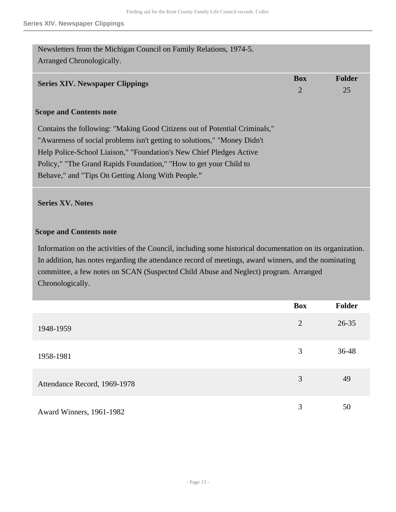<span id="page-12-0"></span>

| Newsletters from the Michigan Council on Family Relations, 1974-5.<br>Arranged Chronologically. |                |               |
|-------------------------------------------------------------------------------------------------|----------------|---------------|
| <b>Series XIV. Newspaper Clippings</b>                                                          | <b>Box</b>     | <b>Folder</b> |
|                                                                                                 | $\overline{2}$ | 25            |
| <b>Scope and Contents note</b>                                                                  |                |               |
| Contains the following: "Making Good Citizens out of Potential Criminals,"                      |                |               |
| "Awareness of social problems isn't getting to solutions," "Money Didn't                        |                |               |
| Help Police-School Liaison," "Foundation's New Chief Pledges Active                             |                |               |
| Policy," "The Grand Rapids Foundation," "How to get your Child to                               |                |               |
| Behave," and "Tips On Getting Along With People."                                               |                |               |

### <span id="page-12-1"></span>**Series XV. Notes**

### **Scope and Contents note**

Information on the activities of the Council, including some historical documentation on its organization. In addition, has notes regarding the attendance record of meetings, award winners, and the nominating committee, a few notes on SCAN (Suspected Child Abuse and Neglect) program. Arranged Chronologically.

|                              | Box            | <b>Folder</b> |
|------------------------------|----------------|---------------|
| 1948-1959                    | $\overline{2}$ | $26 - 35$     |
| 1958-1981                    | 3              | 36-48         |
| Attendance Record, 1969-1978 | 3              | 49            |
| Award Winners, 1961-1982     | 3              | 50            |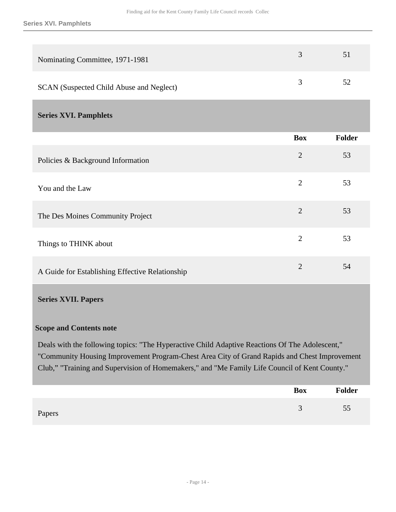| Nominating Committee, 1971-1981          | $\rightarrow$ | 51 |
|------------------------------------------|---------------|----|
| SCAN (Suspected Child Abuse and Neglect) |               | 52 |

### <span id="page-13-0"></span>**Series XVI. Pamphlets**

|                                                 | <b>Box</b>     | Folder |
|-------------------------------------------------|----------------|--------|
| Policies & Background Information               | 2              | 53     |
| You and the Law                                 | $\overline{2}$ | 53     |
| The Des Moines Community Project                | $\overline{2}$ | 53     |
| Things to THINK about                           | $\overline{2}$ | 53     |
| A Guide for Establishing Effective Relationship | $\mathfrak{2}$ | 54     |

### <span id="page-13-1"></span>**Series XVII. Papers**

### **Scope and Contents note**

Deals with the following topics: "The Hyperactive Child Adaptive Reactions Of The Adolescent," "Community Housing Improvement Program-Chest Area City of Grand Rapids and Chest Improvement Club," "Training and Supervision of Homemakers," and "Me Family Life Council of Kent County."

|        | Box | Folder |
|--------|-----|--------|
| Papers |     | 55     |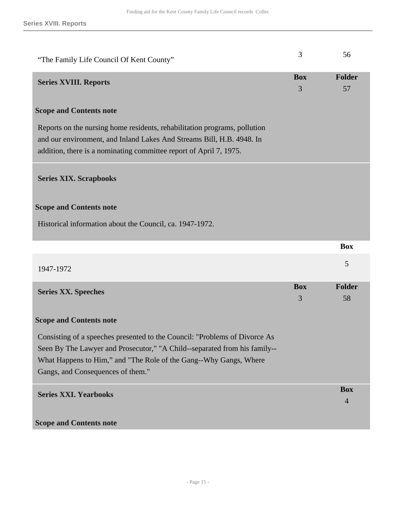<span id="page-14-3"></span><span id="page-14-2"></span><span id="page-14-1"></span><span id="page-14-0"></span>

| "The Family Life Council Of Kent County"                                                                                                                                                                                                                          | 3               | 56                           |
|-------------------------------------------------------------------------------------------------------------------------------------------------------------------------------------------------------------------------------------------------------------------|-----------------|------------------------------|
| <b>Series XVIII. Reports</b>                                                                                                                                                                                                                                      | <b>Box</b><br>3 | <b>Folder</b><br>57          |
| <b>Scope and Contents note</b>                                                                                                                                                                                                                                    |                 |                              |
| Reports on the nursing home residents, rehabilitation programs, pollution<br>and our environment, and Inland Lakes And Streams Bill, H.B. 4948. In<br>addition, there is a nominating committee report of April 7, 1975.                                          |                 |                              |
| <b>Series XIX. Scrapbooks</b>                                                                                                                                                                                                                                     |                 |                              |
| <b>Scope and Contents note</b>                                                                                                                                                                                                                                    |                 |                              |
| Historical information about the Council, ca. 1947-1972.                                                                                                                                                                                                          |                 |                              |
|                                                                                                                                                                                                                                                                   |                 |                              |
|                                                                                                                                                                                                                                                                   |                 | <b>Box</b>                   |
| 1947-1972                                                                                                                                                                                                                                                         |                 | 5                            |
| <b>Series XX. Speeches</b>                                                                                                                                                                                                                                        | <b>Box</b><br>3 | <b>Folder</b><br>58          |
| <b>Scope and Contents note</b>                                                                                                                                                                                                                                    |                 |                              |
| Consisting of a speeches presented to the Council: "Problems of Divorce As<br>Seen By The Lawyer and Prosecutor," "A Child--separated from his family--<br>What Happens to Him," and "The Role of the Gang--Why Gangs, Where<br>Gangs, and Consequences of them." |                 |                              |
| <b>Series XXI. Yearbooks</b>                                                                                                                                                                                                                                      |                 | <b>Box</b><br>$\overline{4}$ |